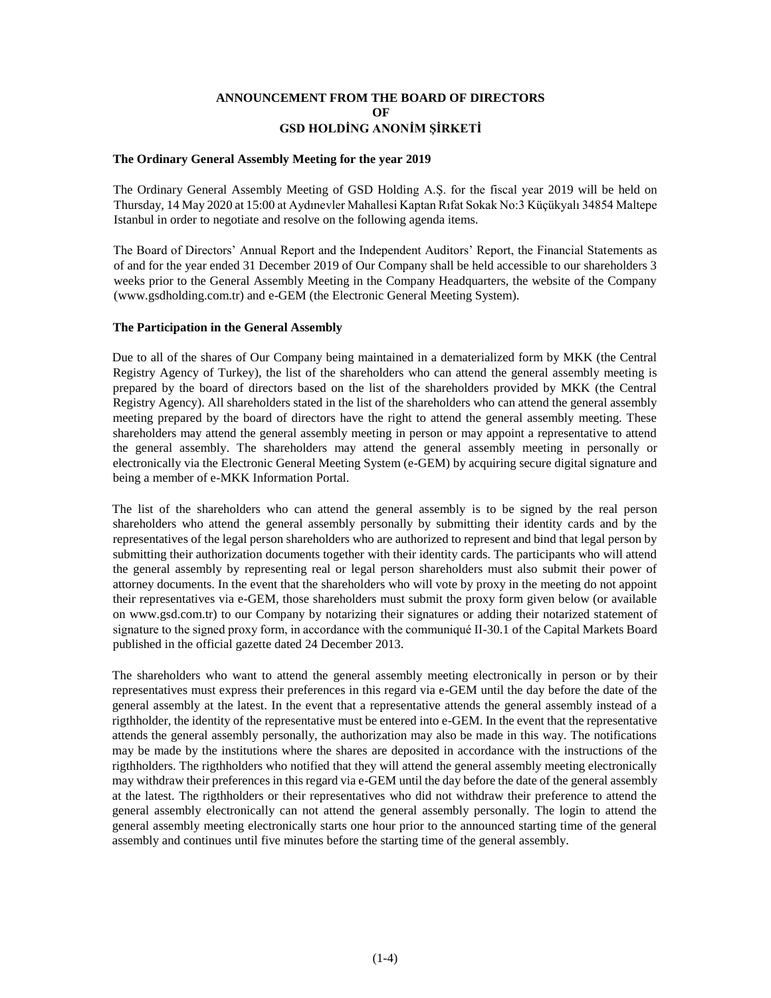# **ANNOUNCEMENT FROM THE BOARD OF DIRECTORS OF GSD HOLDİNG ANONİM ŞİRKETİ**

#### **The Ordinary General Assembly Meeting for the year 2019**

The Ordinary General Assembly Meeting of GSD Holding A.Ş. for the fiscal year 2019 will be held on Thursday, 14 May 2020 at 15:00 at Aydınevler Mahallesi Kaptan Rıfat Sokak No:3 Küçükyalı 34854 Maltepe Istanbul in order to negotiate and resolve on the following agenda items.

The Board of Directors' Annual Report and the Independent Auditors' Report, the Financial Statements as of and for the year ended 31 December 2019 of Our Company shall be held accessible to our shareholders 3 weeks prior to the General Assembly Meeting in the Company Headquarters, the website of the Company (www.gsdholding.com.tr) and e-GEM (the Electronic General Meeting System).

#### **The Participation in the General Assembly**

Due to all of the shares of Our Company being maintained in a dematerialized form by MKK (the Central Registry Agency of Turkey), the list of the shareholders who can attend the general assembly meeting is prepared by the board of directors based on the list of the shareholders provided by MKK (the Central Registry Agency). All shareholders stated in the list of the shareholders who can attend the general assembly meeting prepared by the board of directors have the right to attend the general assembly meeting. These shareholders may attend the general assembly meeting in person or may appoint a representative to attend the general assembly. The shareholders may attend the general assembly meeting in personally or electronically via the Electronic General Meeting System (e-GEM) by acquiring secure digital signature and being a member of e-MKK Information Portal.

The list of the shareholders who can attend the general assembly is to be signed by the real person shareholders who attend the general assembly personally by submitting their identity cards and by the representatives of the legal person shareholders who are authorized to represent and bind that legal person by submitting their authorization documents together with their identity cards. The participants who will attend the general assembly by representing real or legal person shareholders must also submit their power of attorney documents. In the event that the shareholders who will vote by proxy in the meeting do not appoint their representatives via e-GEM, those shareholders must submit the proxy form given below (or available on www.gsd.com.tr) to our Company by notarizing their signatures or adding their notarized statement of signature to the signed proxy form, in accordance with the communiqué II-30.1 of the Capital Markets Board published in the official gazette dated 24 December 2013.

The shareholders who want to attend the general assembly meeting electronically in person or by their representatives must express their preferences in this regard via e-GEM until the day before the date of the general assembly at the latest. In the event that a representative attends the general assembly instead of a rigthholder, the identity of the representative must be entered into e-GEM. In the event that the representative attends the general assembly personally, the authorization may also be made in this way. The notifications may be made by the institutions where the shares are deposited in accordance with the instructions of the rigthholders. The rigthholders who notified that they will attend the general assembly meeting electronically may withdraw their preferences in this regard via e-GEM until the day before the date of the general assembly at the latest. The rigthholders or their representatives who did not withdraw their preference to attend the general assembly electronically can not attend the general assembly personally. The login to attend the general assembly meeting electronically starts one hour prior to the announced starting time of the general assembly and continues until five minutes before the starting time of the general assembly.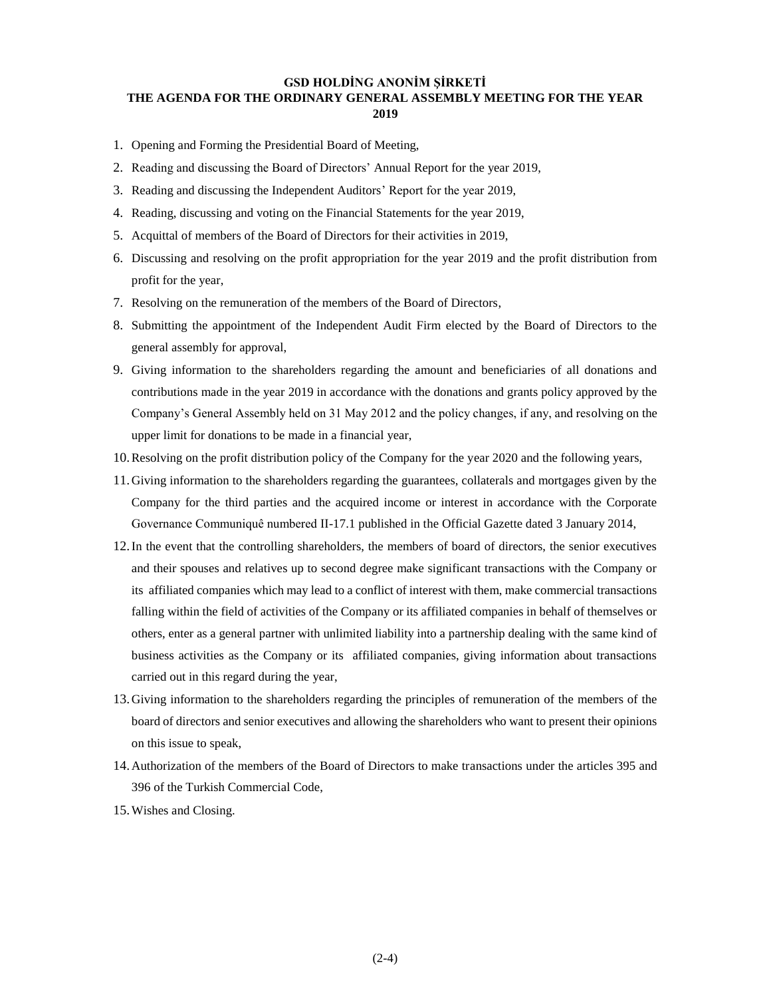#### **GSD HOLDİNG ANONİM ŞİRKETİ**

### **THE AGENDA FOR THE ORDINARY GENERAL ASSEMBLY MEETING FOR THE YEAR 2019**

- 1. Opening and Forming the Presidential Board of Meeting,
- 2. Reading and discussing the Board of Directors' Annual Report for the year 2019,
- 3. Reading and discussing the Independent Auditors' Report for the year 2019,
- 4. Reading, discussing and voting on the Financial Statements for the year 2019,
- 5. Acquittal of members of the Board of Directors for their activities in 2019,
- 6. Discussing and resolving on the profit appropriation for the year 2019 and the profit distribution from profit for the year,
- 7. Resolving on the remuneration of the members of the Board of Directors,
- 8. Submitting the appointment of the Independent Audit Firm elected by the Board of Directors to the general assembly for approval,
- 9. Giving information to the shareholders regarding the amount and beneficiaries of all donations and contributions made in the year 2019 in accordance with the donations and grants policy approved by the Company's General Assembly held on 31 May 2012 and the policy changes, if any, and resolving on the upper limit for donations to be made in a financial year,
- 10.Resolving on the profit distribution policy of the Company for the year 2020 and the following years,
- 11.Giving information to the shareholders regarding the guarantees, collaterals and mortgages given by the Company for the third parties and the acquired income or interest in accordance with the Corporate Governance Communiquê numbered II-17.1 published in the Official Gazette dated 3 January 2014,
- 12.In the event that the controlling shareholders, the members of board of directors, the senior executives and their spouses and relatives up to second degree make significant transactions with the Company or its affiliated companies which may lead to a conflict of interest with them, make commercial transactions falling within the field of activities of the Company or its affiliated companies in behalf of themselves or others, enter as a general partner with unlimited liability into a partnership dealing with the same kind of business activities as the Company or its affiliated companies, giving information about transactions carried out in this regard during the year,
- 13.Giving information to the shareholders regarding the principles of remuneration of the members of the board of directors and senior executives and allowing the shareholders who want to present their opinions on this issue to speak,
- 14.Authorization of the members of the Board of Directors to make transactions under the articles 395 and 396 of the Turkish Commercial Code,
- 15.Wishes and Closing.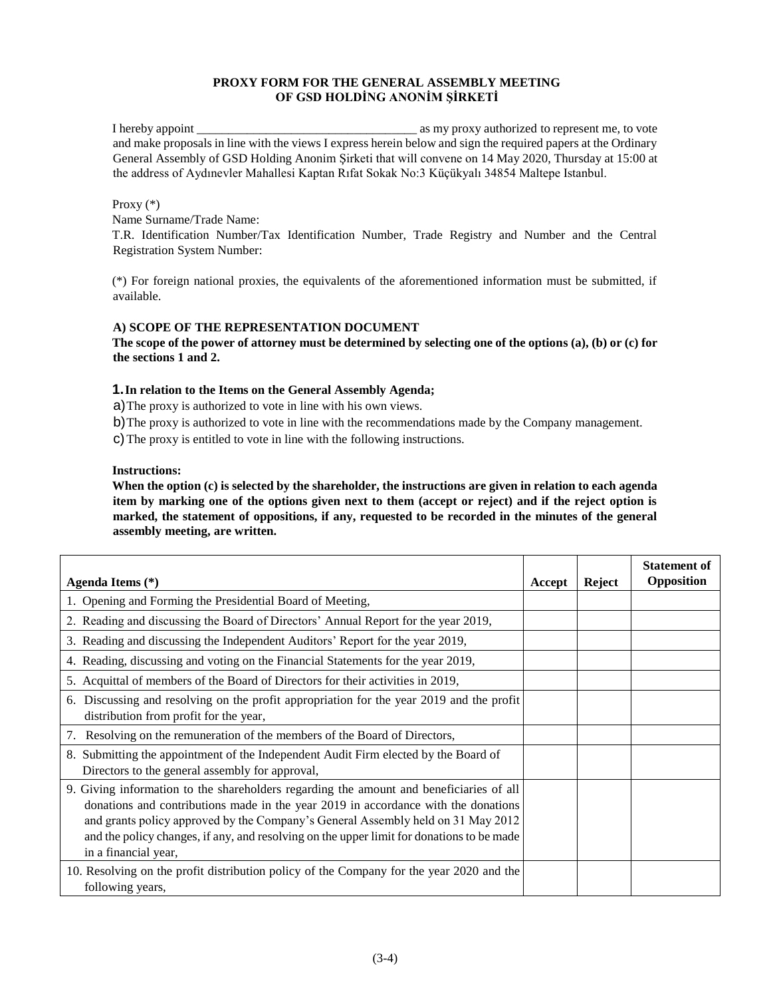# **PROXY FORM FOR THE GENERAL ASSEMBLY MEETING OF GSD HOLDİNG ANONİM ŞİRKETİ**

I hereby appoint \_\_\_\_\_\_\_\_\_\_\_\_\_\_\_\_\_\_\_\_\_\_\_\_\_\_\_\_\_\_\_\_\_\_\_ as my proxy authorized to represent me, to vote and make proposals in line with the views I express herein below and sign the required papers at the Ordinary General Assembly of GSD Holding Anonim Şirketi that will convene on 14 May 2020, Thursday at 15:00 at the address of Aydınevler Mahallesi Kaptan Rıfat Sokak No:3 Küçükyalı 34854 Maltepe Istanbul.

### Proxy (\*)

Name Surname/Trade Name:

T.R. Identification Number/Tax Identification Number, Trade Registry and Number and the Central Registration System Number:

(\*) For foreign national proxies, the equivalents of the aforementioned information must be submitted, if available.

## **A) SCOPE OF THE REPRESENTATION DOCUMENT**

**The scope of the power of attorney must be determined by selecting one of the options (a), (b) or (c) for the sections 1 and 2.** 

# **1.In relation to the Items on the General Assembly Agenda;**

a)The proxy is authorized to vote in line with his own views.

b)The proxy is authorized to vote in line with the recommendations made by the Company management.

c)The proxy is entitled to vote in line with the following instructions.

#### **Instructions:**

**When the option (c) is selected by the shareholder, the instructions are given in relation to each agenda item by marking one of the options given next to them (accept or reject) and if the reject option is marked, the statement of oppositions, if any, requested to be recorded in the minutes of the general assembly meeting, are written.** 

| Agenda Items (*)                                                                                                                                                                                                                                                                                                                                                                       | Accept | Reject | <b>Statement of</b><br>Opposition |
|----------------------------------------------------------------------------------------------------------------------------------------------------------------------------------------------------------------------------------------------------------------------------------------------------------------------------------------------------------------------------------------|--------|--------|-----------------------------------|
| 1. Opening and Forming the Presidential Board of Meeting,                                                                                                                                                                                                                                                                                                                              |        |        |                                   |
| 2. Reading and discussing the Board of Directors' Annual Report for the year 2019,                                                                                                                                                                                                                                                                                                     |        |        |                                   |
| 3. Reading and discussing the Independent Auditors' Report for the year 2019,                                                                                                                                                                                                                                                                                                          |        |        |                                   |
| 4. Reading, discussing and voting on the Financial Statements for the year 2019,                                                                                                                                                                                                                                                                                                       |        |        |                                   |
| 5. Acquittal of members of the Board of Directors for their activities in 2019,                                                                                                                                                                                                                                                                                                        |        |        |                                   |
| Discussing and resolving on the profit appropriation for the year 2019 and the profit<br>6.<br>distribution from profit for the year,                                                                                                                                                                                                                                                  |        |        |                                   |
| Resolving on the remuneration of the members of the Board of Directors,<br>7.                                                                                                                                                                                                                                                                                                          |        |        |                                   |
| 8. Submitting the appointment of the Independent Audit Firm elected by the Board of<br>Directors to the general assembly for approval,                                                                                                                                                                                                                                                 |        |        |                                   |
| 9. Giving information to the shareholders regarding the amount and beneficiaries of all<br>donations and contributions made in the year 2019 in accordance with the donations<br>and grants policy approved by the Company's General Assembly held on 31 May 2012<br>and the policy changes, if any, and resolving on the upper limit for donations to be made<br>in a financial year, |        |        |                                   |
| 10. Resolving on the profit distribution policy of the Company for the year 2020 and the<br>following years,                                                                                                                                                                                                                                                                           |        |        |                                   |